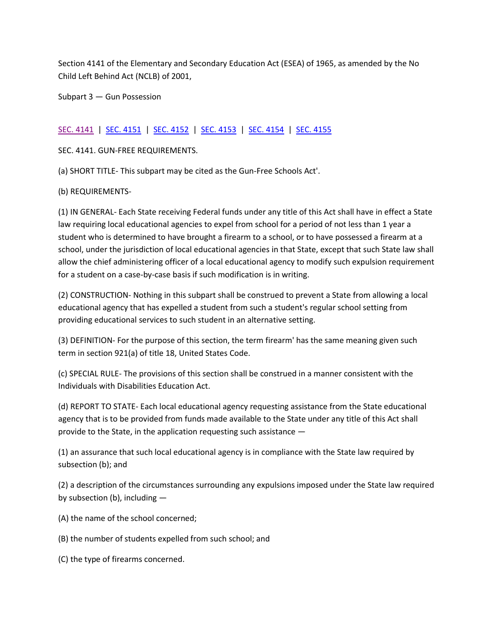Section 4141 of the Elementary and Secondary Education Act (ESEA) of 1965, as amended by the No Child Left Behind Act (NCLB) of 2001,

Subpart 3 — Gun Possession

## SEC. [4141](http://www2.ed.gov/policy/elsec/leg/esea02/pg54.html#sec4141) | [SEC. 4151](http://www2.ed.gov/policy/elsec/leg/esea02/pg54.html#sec4151) | [SEC. 4152](http://www2.ed.gov/policy/elsec/leg/esea02/pg54.html#sec4152) | [SEC. 4153](http://www2.ed.gov/policy/elsec/leg/esea02/pg54.html#sec4153) | [SEC. 4154](http://www2.ed.gov/policy/elsec/leg/esea02/pg54.html#sec4154) | [SEC. 4155](http://www2.ed.gov/policy/elsec/leg/esea02/pg54.html#sec4155)

SEC. 4141. GUN-FREE REQUIREMENTS.

(a) SHORT TITLE- This subpart may be cited as the Gun-Free Schools Act'.

(b) REQUIREMENTS-

(1) IN GENERAL- Each State receiving Federal funds under any title of this Act shall have in effect a State law requiring local educational agencies to expel from school for a period of not less than 1 year a student who is determined to have brought a firearm to a school, or to have possessed a firearm at a school, under the jurisdiction of local educational agencies in that State, except that such State law shall allow the chief administering officer of a local educational agency to modify such expulsion requirement for a student on a case-by-case basis if such modification is in writing.

(2) CONSTRUCTION- Nothing in this subpart shall be construed to prevent a State from allowing a local educational agency that has expelled a student from such a student's regular school setting from providing educational services to such student in an alternative setting.

(3) DEFINITION- For the purpose of this section, the term firearm' has the same meaning given such term in section 921(a) of title 18, United States Code.

(c) SPECIAL RULE- The provisions of this section shall be construed in a manner consistent with the Individuals with Disabilities Education Act.

(d) REPORT TO STATE- Each local educational agency requesting assistance from the State educational agency that is to be provided from funds made available to the State under any title of this Act shall provide to the State, in the application requesting such assistance —

(1) an assurance that such local educational agency is in compliance with the State law required by subsection (b); and

(2) a description of the circumstances surrounding any expulsions imposed under the State law required by subsection (b), including —

(A) the name of the school concerned;

(B) the number of students expelled from such school; and

(C) the type of firearms concerned.